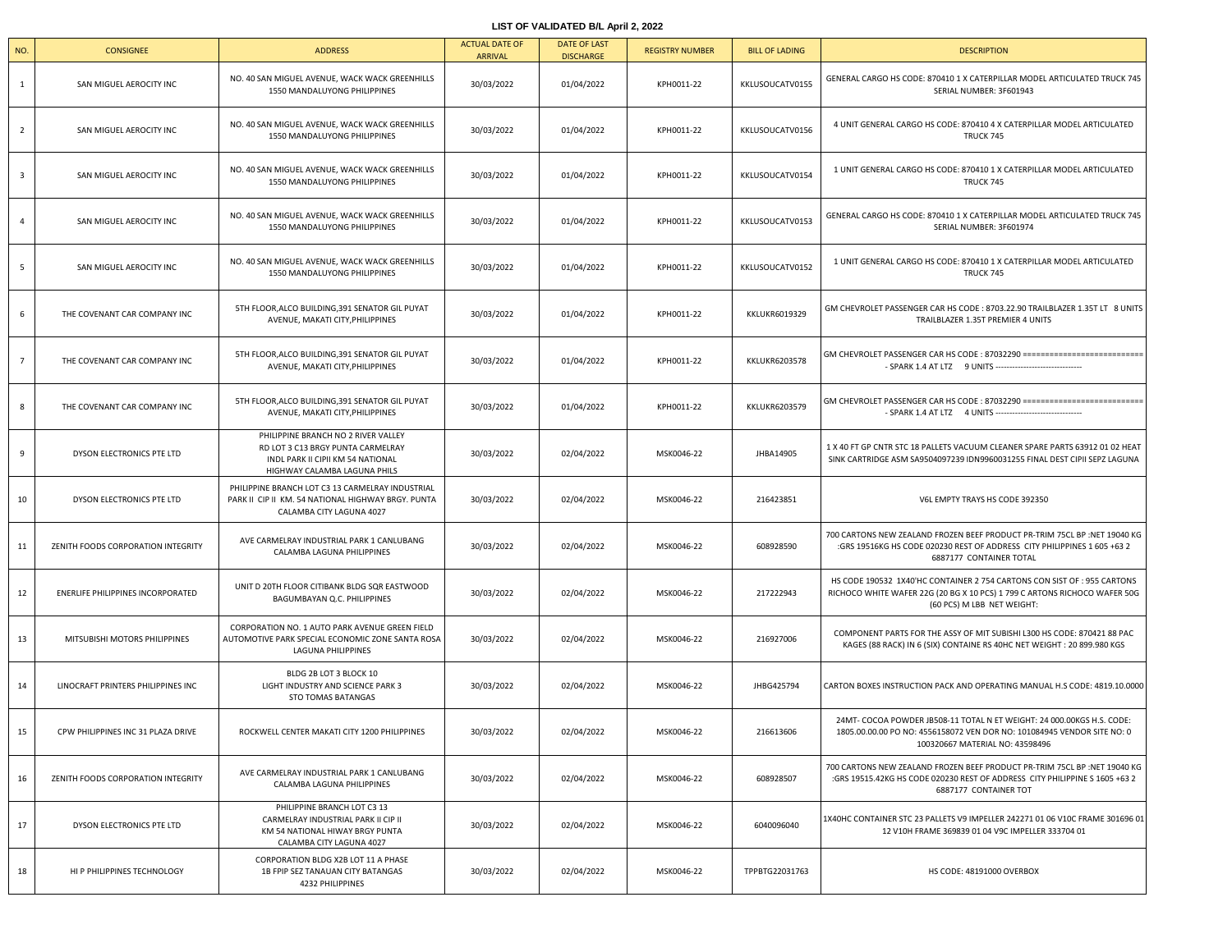## **LIST OF VALIDATED B/L April 2, 2022**

| NO.            | <b>CONSIGNEE</b>                   | <b>ADDRESS</b>                                                                                                                                | <b>ACTUAL DATE OF</b><br><b>ARRIVAL</b> | <b>DATE OF LAST</b><br><b>DISCHARGE</b> | <b>REGISTRY NUMBER</b> | <b>BILL OF LADING</b> | <b>DESCRIPTION</b>                                                                                                                                                                   |
|----------------|------------------------------------|-----------------------------------------------------------------------------------------------------------------------------------------------|-----------------------------------------|-----------------------------------------|------------------------|-----------------------|--------------------------------------------------------------------------------------------------------------------------------------------------------------------------------------|
| 1              | SAN MIGUEL AEROCITY INC            | NO. 40 SAN MIGUEL AVENUE, WACK WACK GREENHILLS<br>1550 MANDALUYONG PHILIPPINES                                                                | 30/03/2022                              | 01/04/2022                              | KPH0011-22             | KKLUSOUCATV0155       | GENERAL CARGO HS CODE: 870410 1 X CATERPILLAR MODEL ARTICULATED TRUCK 745<br>SERIAL NUMBER: 3F601943                                                                                 |
| $\overline{2}$ | SAN MIGUEL AEROCITY INC            | NO. 40 SAN MIGUEL AVENUE, WACK WACK GREENHILLS<br>1550 MANDALUYONG PHILIPPINES                                                                | 30/03/2022                              | 01/04/2022                              | KPH0011-22             | KKLUSOUCATV0156       | 4 UNIT GENERAL CARGO HS CODE: 870410 4 X CATERPILLAR MODEL ARTICULATED<br>TRUCK 745                                                                                                  |
| 3              | SAN MIGUEL AEROCITY INC            | NO. 40 SAN MIGUEL AVENUE, WACK WACK GREENHILLS<br>1550 MANDALUYONG PHILIPPINES                                                                | 30/03/2022                              | 01/04/2022                              | KPH0011-22             | KKLUSOUCATV0154       | 1 UNIT GENERAL CARGO HS CODE: 870410 1 X CATERPILLAR MODEL ARTICULATED<br>TRUCK 745                                                                                                  |
| $\overline{4}$ | SAN MIGUEL AEROCITY INC            | NO. 40 SAN MIGUEL AVENUE, WACK WACK GREENHILLS<br>1550 MANDALUYONG PHILIPPINES                                                                | 30/03/2022                              | 01/04/2022                              | KPH0011-22             | KKLUSOUCATV0153       | GENERAL CARGO HS CODE: 870410 1 X CATERPILLAR MODEL ARTICULATED TRUCK 745<br>SERIAL NUMBER: 3F601974                                                                                 |
| 5              | SAN MIGUEL AEROCITY INC            | NO. 40 SAN MIGUEL AVENUE, WACK WACK GREENHILLS<br>1550 MANDALUYONG PHILIPPINES                                                                | 30/03/2022                              | 01/04/2022                              | KPH0011-22             | KKLUSOUCATV0152       | 1 UNIT GENERAL CARGO HS CODE: 870410 1 X CATERPILLAR MODEL ARTICULATED<br>TRUCK 745                                                                                                  |
| 6              | THE COVENANT CAR COMPANY INC       | 5TH FLOOR, ALCO BUILDING, 391 SENATOR GIL PUYAT<br>AVENUE, MAKATI CITY, PHILIPPINES                                                           | 30/03/2022                              | 01/04/2022                              | KPH0011-22             | KKLUKR6019329         | GM CHEVROLET PASSENGER CAR HS CODE : 8703.22.90 TRAILBLAZER 1.35T LT 8 UNITS<br>TRAILBLAZER 1.35T PREMIER 4 UNITS                                                                    |
| $\overline{7}$ | THE COVENANT CAR COMPANY INC       | 5TH FLOOR, ALCO BUILDING, 391 SENATOR GIL PUYAT<br>AVENUE, MAKATI CITY, PHILIPPINES                                                           | 30/03/2022                              | 01/04/2022                              | KPH0011-22             | <b>KKLUKR6203578</b>  | GM CHEVROLET PASSENGER CAR HS CODE: 87032290 ============================<br>- SPARK 1.4 AT LTZ 9 UNITS --------------------------------                                             |
| 8              | THE COVENANT CAR COMPANY INC       | 5TH FLOOR, ALCO BUILDING, 391 SENATOR GIL PUYAT<br>AVENUE, MAKATI CITY, PHILIPPINES                                                           | 30/03/2022                              | 01/04/2022                              | KPH0011-22             | <b>KKLUKR6203579</b>  | GM CHEVROLET PASSENGER CAR HS CODE: 87032290 ===========================<br>- SPARK 1.4 AT LTZ 4 UNITS --------------------                                                          |
| 9              | DYSON ELECTRONICS PTE LTD          | PHILIPPINE BRANCH NO 2 RIVER VALLEY<br>RD LOT 3 C13 BRGY PUNTA CARMELRAY<br>INDL PARK II CIPII KM 54 NATIONAL<br>HIGHWAY CALAMBA LAGUNA PHILS | 30/03/2022                              | 02/04/2022                              | MSK0046-22             | JHBA14905             | 1 X 40 FT GP CNTR STC 18 PALLETS VACUUM CLEANER SPARE PARTS 63912 01 02 HEAT<br>SINK CARTRIDGE ASM SA9504097239 IDN9960031255 FINAL DEST CIPII SEPZ LAGUNA                           |
| 10             | DYSON ELECTRONICS PTE LTD          | PHILIPPINE BRANCH LOT C3 13 CARMELRAY INDUSTRIAL<br>PARK II CIP II KM. 54 NATIONAL HIGHWAY BRGY. PUNTA<br>CALAMBA CITY LAGUNA 4027            | 30/03/2022                              | 02/04/2022                              | MSK0046-22             | 216423851             | V6L EMPTY TRAYS HS CODE 392350                                                                                                                                                       |
| 11             | ZENITH FOODS CORPORATION INTEGRITY | AVE CARMELRAY INDUSTRIAL PARK 1 CANLUBANG<br>CALAMBA LAGUNA PHILIPPINES                                                                       | 30/03/2022                              | 02/04/2022                              | MSK0046-22             | 608928590             | 700 CARTONS NEW ZEALAND FROZEN BEEF PRODUCT PR-TRIM 75CL BP :NET 19040 KG<br>:GRS 19516KG HS CODE 020230 REST OF ADDRESS CITY PHILIPPINES 1 605 +63 2<br>6887177 CONTAINER TOTAL     |
| 12             | ENERLIFE PHILIPPINES INCORPORATED  | UNIT D 20TH FLOOR CITIBANK BLDG SQR EASTWOOD<br>BAGUMBAYAN Q.C. PHILIPPINES                                                                   | 30/03/2022                              | 02/04/2022                              | MSK0046-22             | 217222943             | HS CODE 190532 1X40'HC CONTAINER 2 754 CARTONS CON SIST OF : 955 CARTONS<br>RICHOCO WHITE WAFER 22G (20 BG X 10 PCS) 1 799 C ARTONS RICHOCO WAFER 50G<br>(60 PCS) M LBB NET WEIGHT:  |
| 13             | MITSUBISHI MOTORS PHILIPPINES      | CORPORATION NO. 1 AUTO PARK AVENUE GREEN FIELD<br>AUTOMOTIVE PARK SPECIAL ECONOMIC ZONE SANTA ROSA<br><b>LAGUNA PHILIPPINES</b>               | 30/03/2022                              | 02/04/2022                              | MSK0046-22             | 216927006             | COMPONENT PARTS FOR THE ASSY OF MIT SUBISHI L300 HS CODE: 870421 88 PAC<br>KAGES (88 RACK) IN 6 (SIX) CONTAINE RS 40HC NET WEIGHT: 20 899.980 KGS                                    |
| 14             | LINOCRAFT PRINTERS PHILIPPINES INC | BLDG 2B LOT 3 BLOCK 10<br>LIGHT INDUSTRY AND SCIENCE PARK 3<br>STO TOMAS BATANGAS                                                             | 30/03/2022                              | 02/04/2022                              | MSK0046-22             | JHBG425794            | CARTON BOXES INSTRUCTION PACK AND OPERATING MANUAL H.S CODE: 4819.10.0000                                                                                                            |
| 15             | CPW PHILIPPINES INC 31 PLAZA DRIVE | ROCKWELL CENTER MAKATI CITY 1200 PHILIPPINES                                                                                                  | 30/03/2022                              | 02/04/2022                              | MSK0046-22             | 216613606             | 24MT- COCOA POWDER JB508-11 TOTAL N ET WEIGHT: 24 000.00KGS H.S. CODE:<br>1805.00.00.00 PO NO: 4556158072 VEN DOR NO: 101084945 VENDOR SITE NO: 0<br>100320667 MATERIAL NO: 43598496 |
| 16             | ZENITH FOODS CORPORATION INTEGRITY | AVE CARMELRAY INDUSTRIAL PARK 1 CANLUBANG<br>CALAMBA LAGUNA PHILIPPINES                                                                       | 30/03/2022                              | 02/04/2022                              | MSK0046-22             | 608928507             | 700 CARTONS NEW ZEALAND FROZEN BEEF PRODUCT PR-TRIM 75CL BP :NET 19040 KG<br>:GRS 19515.42KG HS CODE 020230 REST OF ADDRESS CITY PHILIPPINE S 1605 +63 2<br>6887177 CONTAINER TOT    |
| 17             | DYSON ELECTRONICS PTE LTD          | PHILIPPINE BRANCH LOT C3 13<br>CARMELRAY INDUSTRIAL PARK II CIP II<br>KM 54 NATIONAL HIWAY BRGY PUNTA<br>CALAMBA CITY LAGUNA 4027             | 30/03/2022                              | 02/04/2022                              | MSK0046-22             | 6040096040            | 1X40HC CONTAINER STC 23 PALLETS V9 IMPELLER 242271 01 06 V10C FRAME 301696 01<br>12 V10H FRAME 369839 01 04 V9C IMPELLER 333704 01                                                   |
| 18             | HI P PHILIPPINES TECHNOLOGY        | CORPORATION BLDG X2B LOT 11 A PHASE<br>1B FPIP SEZ TANAUAN CITY BATANGAS<br>4232 PHILIPPINES                                                  | 30/03/2022                              | 02/04/2022                              | MSK0046-22             | TPPBTG22031763        | HS CODE: 48191000 OVERBOX                                                                                                                                                            |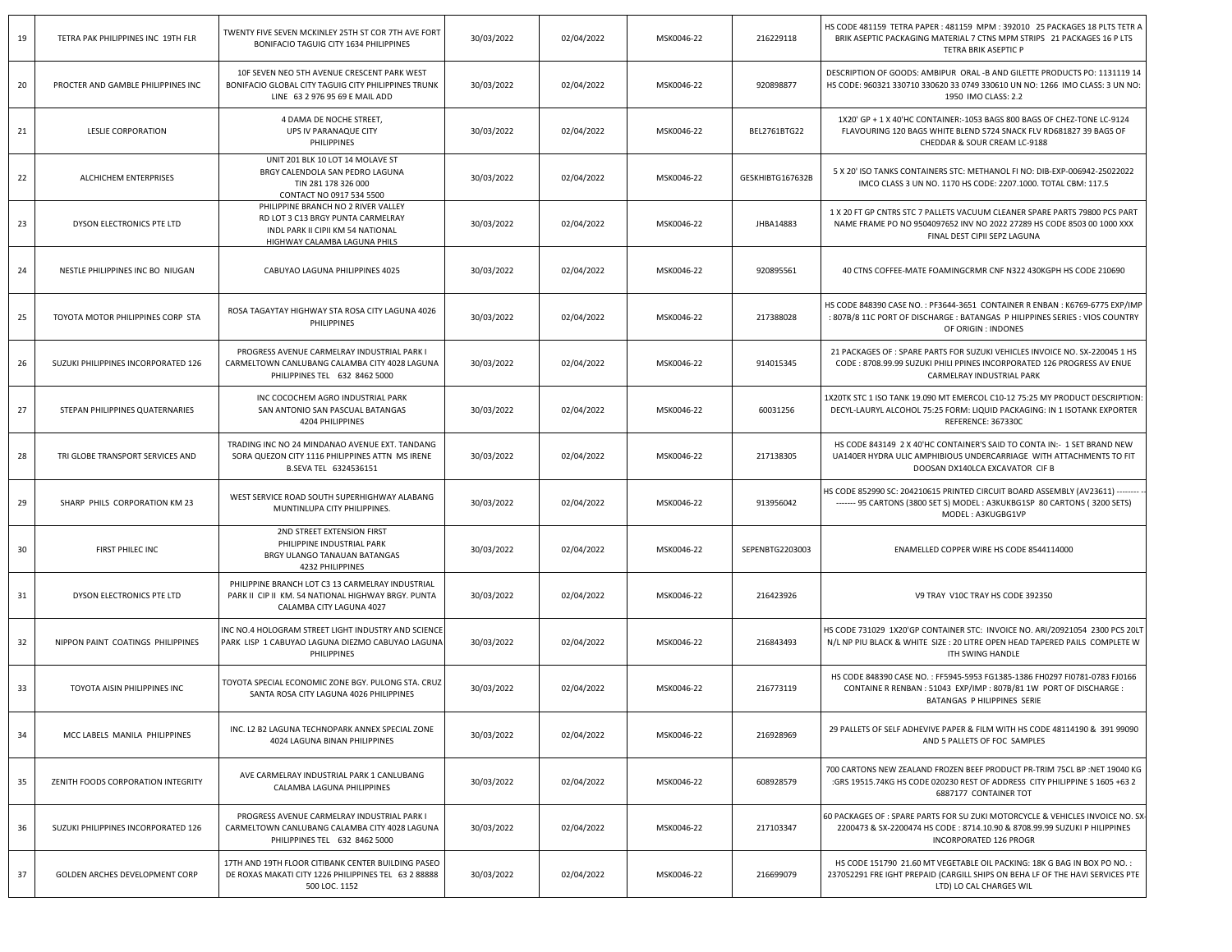| 19 | TETRA PAK PHILIPPINES INC 19TH FLR  | TWENTY FIVE SEVEN MCKINLEY 25TH ST COR 7TH AVE FORT<br>BONIFACIO TAGUIG CITY 1634 PHILIPPINES                                                 | 30/03/2022 | 02/04/2022 | MSK0046-22 | 216229118        | HS CODE 481159 TETRA PAPER : 481159 MPM : 392010 25 PACKAGES 18 PLTS TETR A<br>BRIK ASEPTIC PACKAGING MATERIAL 7 CTNS MPM STRIPS 21 PACKAGES 16 P LTS<br>TETRA BRIK ASEPTIC P        |
|----|-------------------------------------|-----------------------------------------------------------------------------------------------------------------------------------------------|------------|------------|------------|------------------|--------------------------------------------------------------------------------------------------------------------------------------------------------------------------------------|
| 20 | PROCTER AND GAMBLE PHILIPPINES INC  | 10F SEVEN NEO 5TH AVENUE CRESCENT PARK WEST<br>BONIFACIO GLOBAL CITY TAGUIG CITY PHILIPPINES TRUNK<br>LINE 63 2 976 95 69 E MAIL ADD          | 30/03/2022 | 02/04/2022 | MSK0046-22 | 920898877        | DESCRIPTION OF GOODS: AMBIPUR ORAL -B AND GILETTE PRODUCTS PO: 1131119 14<br>HS CODE: 960321 330710 330620 33 0749 330610 UN NO: 1266 IMO CLASS: 3 UN NO:<br>1950 IMO CLASS: 2.2     |
| 21 | <b>LESLIE CORPORATION</b>           | 4 DAMA DE NOCHE STREET,<br>UPS IV PARANAQUE CITY<br>PHILIPPINES                                                                               | 30/03/2022 | 02/04/2022 | MSK0046-22 | BEL2761BTG22     | 1X20' GP + 1 X 40'HC CONTAINER:-1053 BAGS 800 BAGS OF CHEZ-TONE LC-9124<br>FLAVOURING 120 BAGS WHITE BLEND S724 SNACK FLV RD681827 39 BAGS OF<br>CHEDDAR & SOUR CREAM LC-9188        |
| 22 | ALCHICHEM ENTERPRISES               | UNIT 201 BLK 10 LOT 14 MOLAVE ST<br>BRGY CALENDOLA SAN PEDRO LAGUNA<br>TIN 281 178 326 000<br>CONTACT NO 0917 534 5500                        | 30/03/2022 | 02/04/2022 | MSK0046-22 | GESKHIBTG167632B | 5 X 20' ISO TANKS CONTAINERS STC: METHANOL FI NO: DIB-EXP-006942-25022022<br>IMCO CLASS 3 UN NO. 1170 HS CODE: 2207.1000. TOTAL CBM: 117.5                                           |
| 23 | DYSON ELECTRONICS PTE LTD           | PHILIPPINE BRANCH NO 2 RIVER VALLEY<br>RD LOT 3 C13 BRGY PUNTA CARMELRAY<br>INDL PARK II CIPII KM 54 NATIONAL<br>HIGHWAY CALAMBA LAGUNA PHILS | 30/03/2022 | 02/04/2022 | MSK0046-22 | JHBA14883        | 1 X 20 FT GP CNTRS STC 7 PALLETS VACUUM CLEANER SPARE PARTS 79800 PCS PART<br>NAME FRAME PO NO 9504097652 INV NO 2022 27289 HS CODE 8503 00 1000 XXX<br>FINAL DEST CIPII SEPZ LAGUNA |
| 24 | NESTLE PHILIPPINES INC BO NIUGAN    | CABUYAO LAGUNA PHILIPPINES 4025                                                                                                               | 30/03/2022 | 02/04/2022 | MSK0046-22 | 920895561        | 40 CTNS COFFEE-MATE FOAMINGCRMR CNF N322 430KGPH HS CODE 210690                                                                                                                      |
| 25 | TOYOTA MOTOR PHILIPPINES CORP STA   | ROSA TAGAYTAY HIGHWAY STA ROSA CITY LAGUNA 4026<br>PHILIPPINES                                                                                | 30/03/2022 | 02/04/2022 | MSK0046-22 | 217388028        | HS CODE 848390 CASE NO. : PF3644-3651 CONTAINER R ENBAN : K6769-6775 EXP/IMP<br>: 807B/8 11C PORT OF DISCHARGE : BATANGAS P HILIPPINES SERIES : VIOS COUNTRY<br>OF ORIGIN : INDONES  |
| 26 | SUZUKI PHILIPPINES INCORPORATED 126 | PROGRESS AVENUE CARMELRAY INDUSTRIAL PARK I<br>CARMELTOWN CANLUBANG CALAMBA CITY 4028 LAGUNA<br>PHILIPPINES TEL 632 8462 5000                 | 30/03/2022 | 02/04/2022 | MSK0046-22 | 914015345        | 21 PACKAGES OF : SPARE PARTS FOR SUZUKI VEHICLES INVOICE NO. SX-220045 1 HS<br>CODE : 8708.99.99 SUZUKI PHILI PPINES INCORPORATED 126 PROGRESS AV ENUE<br>CARMELRAY INDUSTRIAL PARK  |
| 27 | STEPAN PHILIPPINES QUATERNARIES     | INC COCOCHEM AGRO INDUSTRIAL PARK<br>SAN ANTONIO SAN PASCUAL BATANGAS<br>4204 PHILIPPINES                                                     | 30/03/2022 | 02/04/2022 | MSK0046-22 | 60031256         | 1X20TK STC 1 ISO TANK 19.090 MT EMERCOL C10-12 75:25 MY PRODUCT DESCRIPTION<br>DECYL-LAURYL ALCOHOL 75:25 FORM: LIQUID PACKAGING: IN 1 ISOTANK EXPORTER<br>REFERENCE: 367330C        |
| 28 | TRI GLOBE TRANSPORT SERVICES AND    | TRADING INC NO 24 MINDANAO AVENUE EXT. TANDANG<br>SORA QUEZON CITY 1116 PHILIPPINES ATTN MS IRENE<br>B.SEVA TEL 6324536151                    | 30/03/2022 | 02/04/2022 | MSK0046-22 | 217138305        | HS CODE 843149 2 X 40'HC CONTAINER'S SAID TO CONTA IN:- 1 SET BRAND NEW<br>UA140ER HYDRA ULIC AMPHIBIOUS UNDERCARRIAGE WITH ATTACHMENTS TO FIT<br>DOOSAN DX140LCA EXCAVATOR CIF B    |
| 29 | SHARP PHILS CORPORATION KM 23       | WEST SERVICE ROAD SOUTH SUPERHIGHWAY ALABANG<br>MUNTINLUPA CITY PHILIPPINES.                                                                  | 30/03/2022 | 02/04/2022 | MSK0046-22 | 913956042        | HS CODE 852990 SC: 204210615 PRINTED CIRCUIT BOARD ASSEMBLY (AV23611) --------<br>------- 95 CARTONS (3800 SET S) MODEL: A3KUKBG1SP 80 CARTONS (3200 SETS)<br>MODEL: A3KUGBG1VP      |
| 30 | FIRST PHILEC INC                    | 2ND STREET EXTENSION FIRST<br>PHILIPPINE INDUSTRIAL PARK<br>BRGY ULANGO TANAUAN BATANGAS<br>4232 PHILIPPINES                                  | 30/03/2022 | 02/04/2022 | MSK0046-22 | SEPENBTG2203003  | ENAMELLED COPPER WIRE HS CODE 8544114000                                                                                                                                             |
| 31 | DYSON ELECTRONICS PTE LTD           | PHILIPPINE BRANCH LOT C3 13 CARMELRAY INDUSTRIAL<br>PARK II CIP II KM. 54 NATIONAL HIGHWAY BRGY. PUNTA<br>CALAMBA CITY LAGUNA 4027            | 30/03/2022 | 02/04/2022 | MSK0046-22 | 216423926        | V9 TRAY V10C TRAY HS CODE 392350                                                                                                                                                     |
| 32 | NIPPON PAINT COATINGS PHILIPPINES   | INC NO.4 HOLOGRAM STREET LIGHT INDUSTRY AND SCIENCE<br>PARK LISP 1 CABUYAO LAGUNA DIEZMO CABUYAO LAGUNA<br>PHILIPPINES                        | 30/03/2022 | 02/04/2022 | MSK0046-22 | 216843493        | HS CODE 731029 1X20'GP CONTAINER STC: INVOICE NO. ARI/20921054 2300 PCS 20L'<br>N/L NP PIU BLACK & WHITE SIZE : 20 LITRE OPEN HEAD TAPERED PAILS COMPLETE W<br>ITH SWING HANDLE      |
| 33 | TOYOTA AISIN PHILIPPINES INC        | TOYOTA SPECIAL ECONOMIC ZONE BGY. PULONG STA. CRUZ<br>SANTA ROSA CITY LAGUNA 4026 PHILIPPINES                                                 | 30/03/2022 | 02/04/2022 | MSK0046-22 | 216773119        | HS CODE 848390 CASE NO.: FF5945-5953 FG1385-1386 FH0297 FI0781-0783 FJ0166<br>CONTAINE R RENBAN : 51043 EXP/IMP : 807B/81 1W PORT OF DISCHARGE :<br>BATANGAS P HILIPPINES SERIE      |
| 34 | MCC LABELS MANILA PHILIPPINES       | INC. L2 B2 LAGUNA TECHNOPARK ANNEX SPECIAL ZONE<br>4024 LAGUNA BINAN PHILIPPINES                                                              | 30/03/2022 | 02/04/2022 | MSK0046-22 | 216928969        | 29 PALLETS OF SELF ADHEVIVE PAPER & FILM WITH HS CODE 48114190 & 391 99090<br>AND 5 PALLETS OF FOC SAMPLES                                                                           |
| 35 | ZENITH FOODS CORPORATION INTEGRITY  | AVE CARMELRAY INDUSTRIAL PARK 1 CANLUBANG<br>CALAMBA LAGUNA PHILIPPINES                                                                       | 30/03/2022 | 02/04/2022 | MSK0046-22 | 608928579        | 700 CARTONS NEW ZEALAND FROZEN BEEF PRODUCT PR-TRIM 75CL BP :NET 19040 KG<br>:GRS 19515.74KG HS CODE 020230 REST OF ADDRESS CITY PHILIPPINE S 1605 +63 2<br>6887177 CONTAINER TOT    |
| 36 | SUZUKI PHILIPPINES INCORPORATED 126 | PROGRESS AVENUE CARMELRAY INDUSTRIAL PARK I<br>CARMELTOWN CANLUBANG CALAMBA CITY 4028 LAGUNA<br>PHILIPPINES TEL 632 8462 5000                 | 30/03/2022 | 02/04/2022 | MSK0046-22 | 217103347        | 60 PACKAGES OF : SPARE PARTS FOR SU ZUKI MOTORCYCLE & VEHICLES INVOICE NO. SX<br>2200473 & SX-2200474 HS CODE: 8714.10.90 & 8708.99.99 SUZUKI P HILIPPINES<br>INCORPORATED 126 PROGR |
| 37 | GOLDEN ARCHES DEVELOPMENT CORP      | 17TH AND 19TH FLOOR CITIBANK CENTER BUILDING PASEO<br>DE ROXAS MAKATI CITY 1226 PHILIPPINES TEL 63 2 88888<br>500 LOC. 1152                   | 30/03/2022 | 02/04/2022 | MSK0046-22 | 216699079        | HS CODE 151790 21.60 MT VEGETABLE OIL PACKING: 18K G BAG IN BOX PO NO. :<br>237052291 FRE IGHT PREPAID (CARGILL SHIPS ON BEHA LF OF THE HAVI SERVICES PTE<br>LTD) LO CAL CHARGES WIL |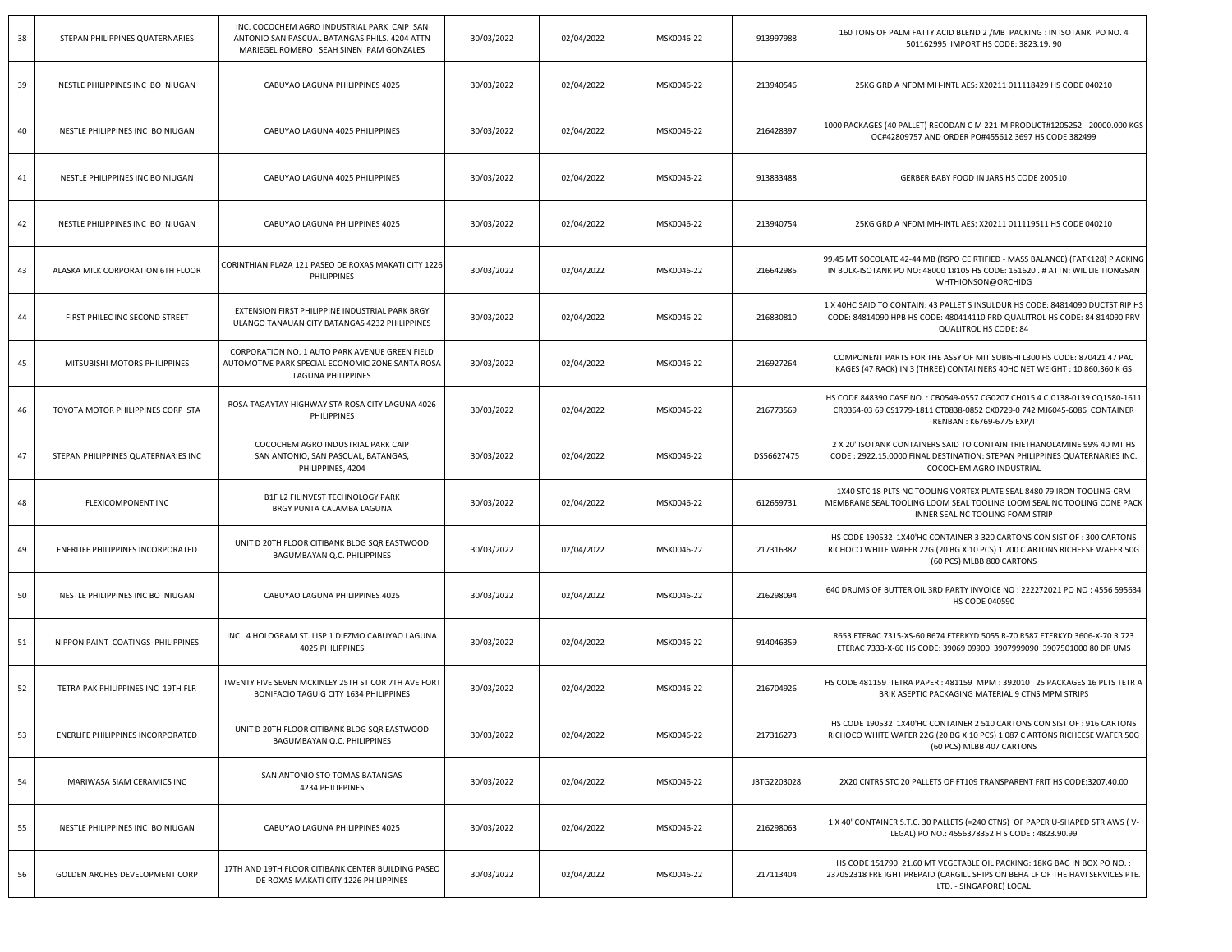| 38 | STEPAN PHILIPPINES QUATERNARIES     | INC. COCOCHEM AGRO INDUSTRIAL PARK CAIP SAN<br>ANTONIO SAN PASCUAL BATANGAS PHILS. 4204 ATTN<br>MARIEGEL ROMERO SEAH SINEN PAM GONZALES | 30/03/2022 | 02/04/2022 | MSK0046-22 | 913997988   | 160 TONS OF PALM FATTY ACID BLEND 2 / MB PACKING : IN ISOTANK PO NO. 4<br>501162995 IMPORT HS CODE: 3823.19.90                                                                        |
|----|-------------------------------------|-----------------------------------------------------------------------------------------------------------------------------------------|------------|------------|------------|-------------|---------------------------------------------------------------------------------------------------------------------------------------------------------------------------------------|
| 39 | NESTLE PHILIPPINES INC BO NIUGAN    | CABUYAO LAGUNA PHILIPPINES 4025                                                                                                         | 30/03/2022 | 02/04/2022 | MSK0046-22 | 213940546   | 25KG GRD A NFDM MH-INTL AES: X20211 011118429 HS CODE 040210                                                                                                                          |
| 40 | NESTLE PHILIPPINES INC BO NIUGAN    | CABUYAO LAGUNA 4025 PHILIPPINES                                                                                                         | 30/03/2022 | 02/04/2022 | MSK0046-22 | 216428397   | 1000 PACKAGES (40 PALLET) RECODAN C M 221-M PRODUCT#1205252 - 20000.000 KGS<br>OC#42809757 AND ORDER PO#455612 3697 HS CODE 382499                                                    |
| 41 | NESTLE PHILIPPINES INC BO NIUGAN    | CABUYAO LAGUNA 4025 PHILIPPINES                                                                                                         | 30/03/2022 | 02/04/2022 | MSK0046-22 | 913833488   | GERBER BABY FOOD IN JARS HS CODE 200510                                                                                                                                               |
| 42 | NESTLE PHILIPPINES INC BO NIUGAN    | CABUYAO LAGUNA PHILIPPINES 4025                                                                                                         | 30/03/2022 | 02/04/2022 | MSK0046-22 | 213940754   | 25KG GRD A NFDM MH-INTL AES: X20211 011119511 HS CODE 040210                                                                                                                          |
| 43 | ALASKA MILK CORPORATION 6TH FLOOR   | CORINTHIAN PLAZA 121 PASEO DE ROXAS MAKATI CITY 1226<br>PHILIPPINES                                                                     | 30/03/2022 | 02/04/2022 | MSK0046-22 | 216642985   | 99.45 MT SOCOLATE 42-44 MB (RSPO CE RTIFIED - MASS BALANCE) (FATK128) P ACKING<br>IN BULK-ISOTANK PO NO: 48000 18105 HS CODE: 151620 . # ATTN: WIL LIE TIONGSAN<br>WHTHIONSON@ORCHIDG |
| 44 | FIRST PHILEC INC SECOND STREET      | EXTENSION FIRST PHILIPPINE INDUSTRIAL PARK BRGY<br>ULANGO TANAUAN CITY BATANGAS 4232 PHILIPPINES                                        | 30/03/2022 | 02/04/2022 | MSK0046-22 | 216830810   | 1 X 40HC SAID TO CONTAIN: 43 PALLET S INSULDUR HS CODE: 84814090 DUCTST RIP HS<br>CODE: 84814090 HPB HS CODE: 480414110 PRD QUALITROL HS CODE: 84 814090 PRV<br>QUALITROL HS CODE: 84 |
| 45 | MITSUBISHI MOTORS PHILIPPINES       | CORPORATION NO. 1 AUTO PARK AVENUE GREEN FIELD<br>AUTOMOTIVE PARK SPECIAL ECONOMIC ZONE SANTA ROSA<br>LAGUNA PHILIPPINES                | 30/03/2022 | 02/04/2022 | MSK0046-22 | 216927264   | COMPONENT PARTS FOR THE ASSY OF MIT SUBISHI L300 HS CODE: 870421 47 PAC<br>KAGES (47 RACK) IN 3 (THREE) CONTAI NERS 40HC NET WEIGHT : 10 860.360 K GS                                 |
| 46 | TOYOTA MOTOR PHILIPPINES CORP STA   | ROSA TAGAYTAY HIGHWAY STA ROSA CITY LAGUNA 4026<br><b>PHILIPPINES</b>                                                                   | 30/03/2022 | 02/04/2022 | MSK0046-22 | 216773569   | HS CODE 848390 CASE NO.: CB0549-0557 CG0207 CH015 4 CJ0138-0139 CQ1580-1611<br>CR0364-03 69 CS1779-1811 CT0838-0852 CX0729-0 742 MJ6045-6086 CONTAINER<br>RENBAN: K6769-6775 EXP/I    |
| 47 | STEPAN PHILIPPINES QUATERNARIES INC | COCOCHEM AGRO INDUSTRIAL PARK CAIP<br>SAN ANTONIO, SAN PASCUAL, BATANGAS,<br>PHILIPPINES, 4204                                          | 30/03/2022 | 02/04/2022 | MSK0046-22 | DS56627475  | 2 X 20' ISOTANK CONTAINERS SAID TO CONTAIN TRIETHANOLAMINE 99% 40 MT HS<br>CODE: 2922.15.0000 FINAL DESTINATION: STEPAN PHILIPPINES QUATERNARIES INC.<br>COCOCHEM AGRO INDUSTRIAL     |
| 48 | FLEXICOMPONENT INC                  | B1F L2 FILINVEST TECHNOLOGY PARK<br>BRGY PUNTA CALAMBA LAGUNA                                                                           | 30/03/2022 | 02/04/2022 | MSK0046-22 | 612659731   | 1X40 STC 18 PLTS NC TOOLING VORTEX PLATE SEAL 8480 79 IRON TOOLING-CRM<br>MEMBRANE SEAL TOOLING LOOM SEAL TOOLING LOOM SEAL NC TOOLING CONE PACK<br>INNER SEAL NC TOOLING FOAM STRIP  |
| 49 | ENERLIFE PHILIPPINES INCORPORATED   | UNIT D 20TH FLOOR CITIBANK BLDG SQR EASTWOOD<br>BAGUMBAYAN Q.C. PHILIPPINES                                                             | 30/03/2022 | 02/04/2022 | MSK0046-22 | 217316382   | HS CODE 190532 1X40'HC CONTAINER 3 320 CARTONS CON SIST OF: 300 CARTONS<br>RICHOCO WHITE WAFER 22G (20 BG X 10 PCS) 1 700 C ARTONS RICHEESE WAFER 50G<br>(60 PCS) MLBB 800 CARTONS    |
| 50 | NESTLE PHILIPPINES INC BO NIUGAN    | CABUYAO LAGUNA PHILIPPINES 4025                                                                                                         | 30/03/2022 | 02/04/2022 | MSK0046-22 | 216298094   | 640 DRUMS OF BUTTER OIL 3RD PARTY INVOICE NO: 222272021 PO NO: 4556 595634<br><b>HS CODE 040590</b>                                                                                   |
| 51 | NIPPON PAINT COATINGS PHILIPPINES   | INC. 4 HOLOGRAM ST. LISP 1 DIEZMO CABUYAO LAGUNA<br>4025 PHILIPPINES                                                                    | 30/03/2022 | 02/04/2022 | MSK0046-22 | 914046359   | R653 ETERAC 7315-XS-60 R674 ETERKYD 5055 R-70 R587 ETERKYD 3606-X-70 R 723<br>ETERAC 7333-X-60 HS CODE: 39069 09900 3907999090 3907501000 80 DR UMS                                   |
| 52 | TETRA PAK PHILIPPINES INC 19TH FLR  | TWENTY FIVE SEVEN MCKINLEY 25TH ST COR 7TH AVE FORT<br>BONIFACIO TAGUIG CITY 1634 PHILIPPINES                                           | 30/03/2022 | 02/04/2022 | MSK0046-22 | 216704926   | HS CODE 481159 TETRA PAPER : 481159 MPM : 392010 25 PACKAGES 16 PLTS TETR A<br>BRIK ASEPTIC PACKAGING MATERIAL 9 CTNS MPM STRIPS                                                      |
| 53 | ENERLIFE PHILIPPINES INCORPORATED   | UNIT D 20TH FLOOR CITIBANK BLDG SQR EASTWOOD<br>BAGUMBAYAN Q.C. PHILIPPINES                                                             | 30/03/2022 | 02/04/2022 | MSK0046-22 | 217316273   | HS CODE 190532 1X40'HC CONTAINER 2 510 CARTONS CON SIST OF : 916 CARTONS<br>RICHOCO WHITE WAFER 22G (20 BG X 10 PCS) 1 087 C ARTONS RICHEESE WAFER 50G<br>(60 PCS) MLBB 407 CARTONS   |
| 54 | MARIWASA SIAM CERAMICS INC          | SAN ANTONIO STO TOMAS BATANGAS<br>4234 PHILIPPINES                                                                                      | 30/03/2022 | 02/04/2022 | MSK0046-22 | JBTG2203028 | 2X20 CNTRS STC 20 PALLETS OF FT109 TRANSPARENT FRIT HS CODE:3207.40.00                                                                                                                |
| 55 | NESTLE PHILIPPINES INC BO NIUGAN    | CABUYAO LAGUNA PHILIPPINES 4025                                                                                                         | 30/03/2022 | 02/04/2022 | MSK0046-22 | 216298063   | 1 X 40' CONTAINER S.T.C. 30 PALLETS (=240 CTNS) OF PAPER U-SHAPED STR AWS (V-<br>LEGAL) PO NO.: 4556378352 H S CODE: 4823.90.99                                                       |
| 56 | GOLDEN ARCHES DEVELOPMENT CORP      | 17TH AND 19TH FLOOR CITIBANK CENTER BUILDING PASEO<br>DE ROXAS MAKATI CITY 1226 PHILIPPINES                                             | 30/03/2022 | 02/04/2022 | MSK0046-22 | 217113404   | HS CODE 151790 21.60 MT VEGETABLE OIL PACKING: 18KG BAG IN BOX PO NO. :<br>237052318 FRE IGHT PREPAID (CARGILL SHIPS ON BEHA LF OF THE HAVI SERVICES PTE.<br>LTD. - SINGAPORE) LOCAL  |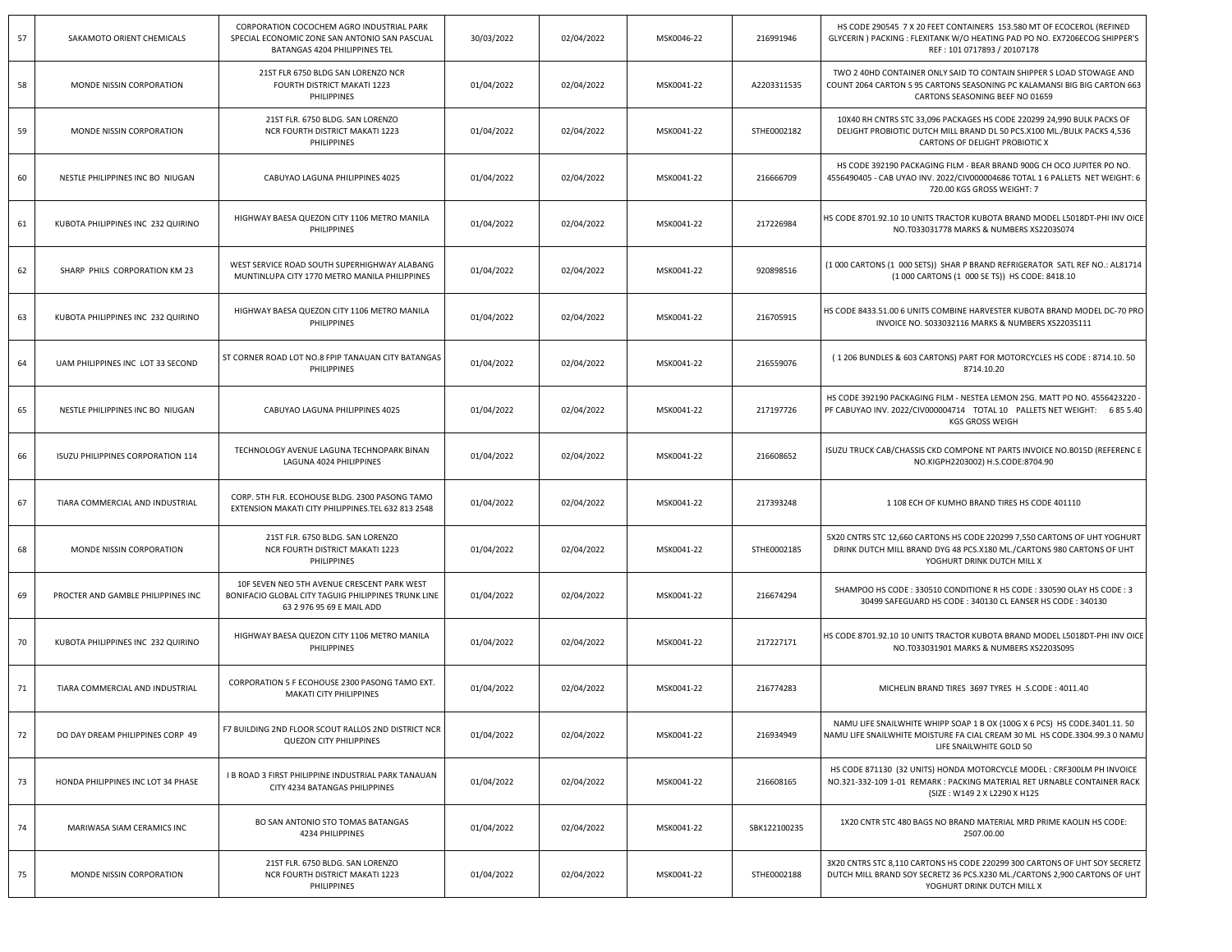| 57 | SAKAMOTO ORIENT CHEMICALS          | CORPORATION COCOCHEM AGRO INDUSTRIAL PARK<br>SPECIAL ECONOMIC ZONE SAN ANTONIO SAN PASCUAL<br>BATANGAS 4204 PHILIPPINES TEL     | 30/03/2022 | 02/04/2022 | MSK0046-22 | 216991946    | HS CODE 290545 7 X 20 FEET CONTAINERS 153.580 MT OF ECOCEROL (REFINED<br>GLYCERIN ) PACKING : FLEXITANK W/O HEATING PAD PO NO. EX7206ECOG SHIPPER'S<br>REF: 101 0717893 / 20107178    |
|----|------------------------------------|---------------------------------------------------------------------------------------------------------------------------------|------------|------------|------------|--------------|---------------------------------------------------------------------------------------------------------------------------------------------------------------------------------------|
| 58 | MONDE NISSIN CORPORATION           | 21ST FLR 6750 BLDG SAN LORENZO NCR<br>FOURTH DISTRICT MAKATI 1223<br>PHILIPPINES                                                | 01/04/2022 | 02/04/2022 | MSK0041-22 | A2203311535  | TWO 2 40HD CONTAINER ONLY SAID TO CONTAIN SHIPPER S LOAD STOWAGE AND<br>COUNT 2064 CARTON S 95 CARTONS SEASONING PC KALAMANSI BIG BIG CARTON 663<br>CARTONS SEASONING BEEF NO 01659   |
| 59 | MONDE NISSIN CORPORATION           | 21ST FLR. 6750 BLDG. SAN LORENZO<br>NCR FOURTH DISTRICT MAKATI 1223<br>PHILIPPINES                                              | 01/04/2022 | 02/04/2022 | MSK0041-22 | STHE0002182  | 10X40 RH CNTRS STC 33,096 PACKAGES HS CODE 220299 24,990 BULK PACKS OF<br>DELIGHT PROBIOTIC DUTCH MILL BRAND DL 50 PCS.X100 ML./BULK PACKS 4,536<br>CARTONS OF DELIGHT PROBIOTIC X    |
| 60 | NESTLE PHILIPPINES INC BO NIUGAN   | CABUYAO LAGUNA PHILIPPINES 4025                                                                                                 | 01/04/2022 | 02/04/2022 | MSK0041-22 | 216666709    | HS CODE 392190 PACKAGING FILM - BEAR BRAND 900G CH OCO JUPITER PO NO.<br>4556490405 - CAB UYAO INV. 2022/CIV000004686 TOTAL 1 6 PALLETS NET WEIGHT: 6<br>720.00 KGS GROSS WEIGHT: 7   |
| 61 | KUBOTA PHILIPPINES INC 232 QUIRINO | HIGHWAY BAESA QUEZON CITY 1106 METRO MANILA<br>PHILIPPINES                                                                      | 01/04/2022 | 02/04/2022 | MSK0041-22 | 217226984    | HS CODE 8701.92.10 10 UNITS TRACTOR KUBOTA BRAND MODEL L5018DT-PHI INV OICE<br>NO.T033031778 MARKS & NUMBERS XS2203S074                                                               |
| 62 | SHARP PHILS CORPORATION KM 23      | WEST SERVICE ROAD SOUTH SUPERHIGHWAY ALABANG<br>MUNTINLUPA CITY 1770 METRO MANILA PHILIPPINES                                   | 01/04/2022 | 02/04/2022 | MSK0041-22 | 920898516    | (1 000 CARTONS (1 000 SETS)) SHAR P BRAND REFRIGERATOR SATL REF NO.: AL81714<br>(1 000 CARTONS (1 000 SE TS)) HS CODE: 8418.10                                                        |
| 63 | KUBOTA PHILIPPINES INC 232 QUIRINO | HIGHWAY BAESA QUEZON CITY 1106 METRO MANILA<br>PHILIPPINES                                                                      | 01/04/2022 | 02/04/2022 | MSK0041-22 | 216705915    | HS CODE 8433.51.00 6 UNITS COMBINE HARVESTER KUBOTA BRAND MODEL DC-70 PRO<br>INVOICE NO. S033032116 MARKS & NUMBERS XS2203S111                                                        |
| 64 | UAM PHILIPPINES INC LOT 33 SECOND  | ST CORNER ROAD LOT NO.8 FPIP TANAUAN CITY BATANGAS<br>PHILIPPINES                                                               | 01/04/2022 | 02/04/2022 | MSK0041-22 | 216559076    | (1206 BUNDLES & 603 CARTONS) PART FOR MOTORCYCLES HS CODE: 8714.10.50<br>8714.10.20                                                                                                   |
| 65 | NESTLE PHILIPPINES INC BO NIUGAN   | CABUYAO LAGUNA PHILIPPINES 4025                                                                                                 | 01/04/2022 | 02/04/2022 | MSK0041-22 | 217197726    | HS CODE 392190 PACKAGING FILM - NESTEA LEMON 25G. MATT PO NO. 4556423220 -<br>PF CABUYAO INV. 2022/CIV000004714 TOTAL 10 PALLETS NET WEIGHT: 685 5.40<br><b>KGS GROSS WEIGH</b>       |
| 66 | ISUZU PHILIPPINES CORPORATION 114  | TECHNOLOGY AVENUE LAGUNA TECHNOPARK BINAN<br>LAGUNA 4024 PHILIPPINES                                                            | 01/04/2022 | 02/04/2022 | MSK0041-22 | 216608652    | ISUZU TRUCK CAB/CHASSIS CKD COMPONE NT PARTS INVOICE NO.B015D (REFERENC E<br>NO.KIGPH2203002) H.S.CODE:8704.90                                                                        |
| 67 | TIARA COMMERCIAL AND INDUSTRIAL    | CORP. 5TH FLR. ECOHOUSE BLDG. 2300 PASONG TAMO<br>EXTENSION MAKATI CITY PHILIPPINES.TEL 632 813 2548                            | 01/04/2022 | 02/04/2022 | MSK0041-22 | 217393248    | 1 108 ECH OF KUMHO BRAND TIRES HS CODE 401110                                                                                                                                         |
| 68 | MONDE NISSIN CORPORATION           | 21ST FLR. 6750 BLDG. SAN LORENZO<br>NCR FOURTH DISTRICT MAKATI 1223<br>PHILIPPINES                                              | 01/04/2022 | 02/04/2022 | MSK0041-22 | STHE0002185  | 5X20 CNTRS STC 12,660 CARTONS HS CODE 220299 7,550 CARTONS OF UHT YOGHURT<br>DRINK DUTCH MILL BRAND DYG 48 PCS.X180 ML./CARTONS 980 CARTONS OF UHT<br>YOGHURT DRINK DUTCH MILL X      |
| 69 | PROCTER AND GAMBLE PHILIPPINES INC | 10F SEVEN NEO 5TH AVENUE CRESCENT PARK WEST<br>BONIFACIO GLOBAL CITY TAGUIG PHILIPPINES TRUNK LINE<br>63 2 976 95 69 E MAIL ADD | 01/04/2022 | 02/04/2022 | MSK0041-22 | 216674294    | SHAMPOO HS CODE: 330510 CONDITIONE R HS CODE: 330590 OLAY HS CODE: 3<br>30499 SAFEGUARD HS CODE: 340130 CL EANSER HS CODE: 340130                                                     |
| 70 | KUBOTA PHILIPPINES INC 232 QUIRINO | HIGHWAY BAESA QUEZON CITY 1106 METRO MANILA<br>PHILIPPINES                                                                      | 01/04/2022 | 02/04/2022 | MSK0041-22 | 217227171    | HS CODE 8701.92.10 10 UNITS TRACTOR KUBOTA BRAND MODEL L5018DT-PHI INV OICE<br>NO.T033031901 MARKS & NUMBERS XS2203S095                                                               |
| 71 | TIARA COMMERCIAL AND INDUSTRIAL    | CORPORATION 5 F ECOHOUSE 2300 PASONG TAMO EXT.<br>MAKATI CITY PHILIPPINES                                                       | 01/04/2022 | 02/04/2022 | MSK0041-22 | 216774283    | MICHELIN BRAND TIRES 3697 TYRES H.S.CODE: 4011.40                                                                                                                                     |
| 72 | DO DAY DREAM PHILIPPINES CORP 49   | F7 BUILDING 2ND FLOOR SCOUT RALLOS 2ND DISTRICT NCR<br><b>QUEZON CITY PHILIPPINES</b>                                           | 01/04/2022 | 02/04/2022 | MSK0041-22 | 216934949    | NAMU LIFE SNAILWHITE WHIPP SOAP 1 B OX (100G X 6 PCS) HS CODE.3401.11. 50<br>NAMU LIFE SNAILWHITE MOISTURE FA CIAL CREAM 30 ML HS CODE.3304.99.3 0 NAMU<br>LIFE SNAILWHITE GOLD 50    |
| 73 | HONDA PHILIPPINES INC LOT 34 PHASE | I B ROAD 3 FIRST PHILIPPINE INDUSTRIAL PARK TANAUAN<br>CITY 4234 BATANGAS PHILIPPINES                                           | 01/04/2022 | 02/04/2022 | MSK0041-22 | 216608165    | HS CODE 871130 (32 UNITS) HONDA MOTORCYCLE MODEL: CRF300LM PH INVOICE<br>NO.321-332-109 1-01 REMARK : PACKING MATERIAL RET URNABLE CONTAINER RACK<br>(SIZE: W149 2 X L2290 X H125     |
| 74 | MARIWASA SIAM CERAMICS INC         | BO SAN ANTONIO STO TOMAS BATANGAS<br>4234 PHILIPPINES                                                                           | 01/04/2022 | 02/04/2022 | MSK0041-22 | SBK122100235 | 1X20 CNTR STC 480 BAGS NO BRAND MATERIAL MRD PRIME KAOLIN HS CODE:<br>2507.00.00                                                                                                      |
| 75 | MONDE NISSIN CORPORATION           | 21ST FLR. 6750 BLDG. SAN LORENZO<br>NCR FOURTH DISTRICT MAKATI 1223<br>PHILIPPINES                                              | 01/04/2022 | 02/04/2022 | MSK0041-22 | STHE0002188  | 3X20 CNTRS STC 8,110 CARTONS HS CODE 220299 300 CARTONS OF UHT SOY SECRETZ<br>DUTCH MILL BRAND SOY SECRETZ 36 PCS.X230 ML./CARTONS 2,900 CARTONS OF UHT<br>YOGHURT DRINK DUTCH MILL X |